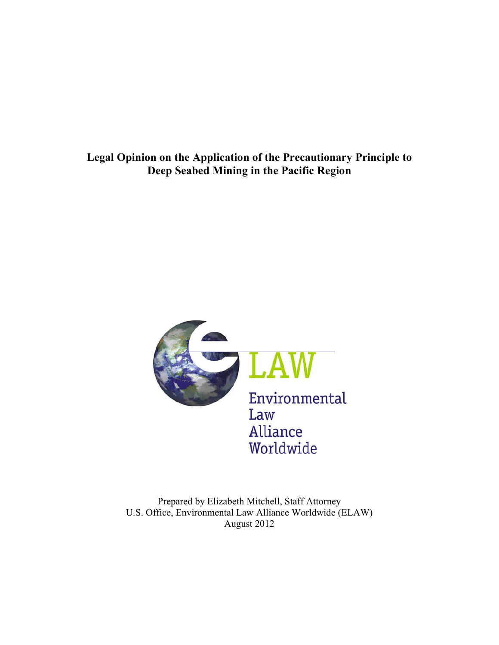**Legal Opinion on the Application of the Precautionary Principle to Deep Seabed Mining in the Pacific Region**



Prepared by Elizabeth Mitchell, Staff Attorney U.S. Office, Environmental Law Alliance Worldwide (ELAW) August 2012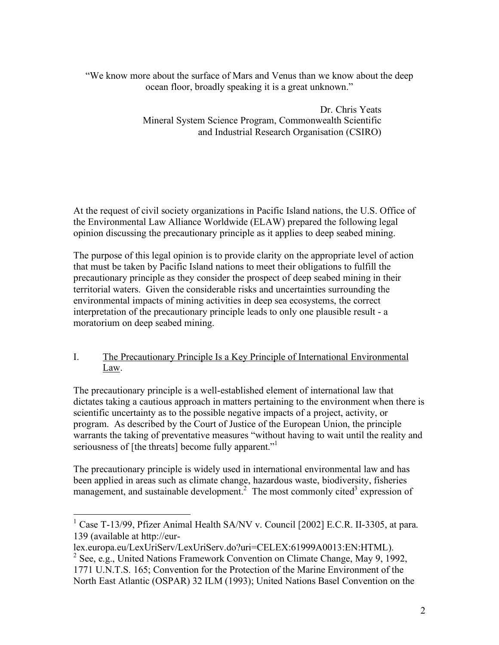"We know more about the surface of Mars and Venus than we know about the deep ocean floor, broadly speaking it is a great unknown."

> Dr. Chris Yeats Mineral System Science Program, Commonwealth Scientific and Industrial Research Organisation (CSIRO)

At the request of civil society organizations in Pacific Island nations, the U.S. Office of the Environmental Law Alliance Worldwide (ELAW) prepared the following legal opinion discussing the precautionary principle as it applies to deep seabed mining.

The purpose of this legal opinion is to provide clarity on the appropriate level of action that must be taken by Pacific Island nations to meet their obligations to fulfill the precautionary principle as they consider the prospect of deep seabed mining in their territorial waters. Given the considerable risks and uncertainties surrounding the environmental impacts of mining activities in deep sea ecosystems, the correct interpretation of the precautionary principle leads to only one plausible result - a moratorium on deep seabed mining.

# I. The Precautionary Principle Is a Key Principle of International Environmental Law.

The precautionary principle is a well-established element of international law that dictates taking a cautious approach in matters pertaining to the environment when there is scientific uncertainty as to the possible negative impacts of a project, activity, or program. As described by the Court of Justice of the European Union, the principle warrants the taking of preventative measures "without having to wait until the reality and seriousness of [the threats] become fully apparent."<sup>1</sup>

The precautionary principle is widely used in international environmental law and has been applied in areas such as climate change, hazardous waste, biodiversity, fisheries management, and sustainable development.<sup>2</sup> The most commonly cited<sup>3</sup> expression of

lex.europa.eu/LexUriServ/LexUriServ.do?uri=CELEX:61999A0013:EN:HTML).

<sup>&</sup>lt;sup>1</sup> Case T-13/99, Pfizer Animal Health SA/NV v. Council [2002] E.C.R. II-3305, at para. 139 (available at http://eur-

<sup>&</sup>lt;sup>2</sup> See, e.g., United Nations Framework Convention on Climate Change, May 9, 1992, 1771 U.N.T.S. 165; Convention for the Protection of the Marine Environment of the North East Atlantic (OSPAR) 32 ILM (1993); United Nations Basel Convention on the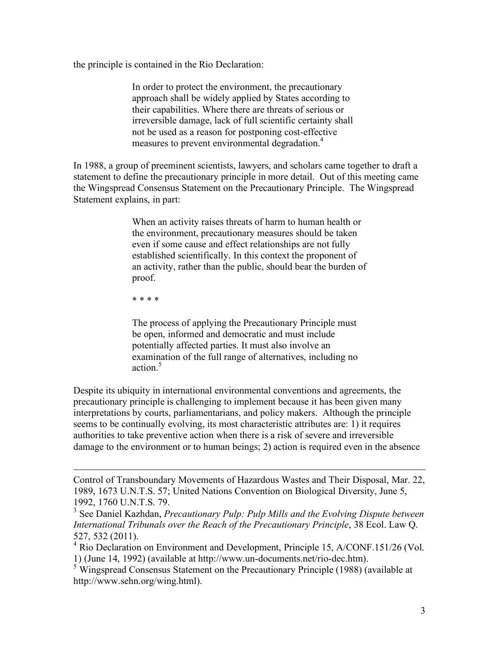the principle is contained in the Rio Declaration:

In order to protect the environment, the precautionary approach shall be widely applied by States according to their capabilities. Where there are threats of serious or irreversible damage, lack of full scientific certainty shall not be used as a reason for postponing cost-effective measures to prevent environmental degradation.<sup>4</sup>

In 1988, a group of preeminent scientists, lawyers, and scholars came together to draft a statement to define the precautionary principle in more detail. Out of this meeting came the Wingspread Consensus Statement on the Precautionary Principle. The Wingspread Statement explains, in part:

> When an activity raises threats of harm to human health or the environment, precautionary measures should be taken even if some cause and effect relationships are not fully established scientifically. In this context the proponent of an activity, rather than the public, should bear the burden of proof.

\* \* \* \*

 $\overline{a}$ 

The process of applying the Precautionary Principle must be open, informed and democratic and must include potentially affected parties. It must also involve an examination of the full range of alternatives, including no action.<sup>5</sup>

Despite its ubiquity in international environmental conventions and agreements, the precautionary principle is challenging to implement because it has been given many interpretations by courts, parliamentarians, and policy makers. Although the principle seems to be continually evolving, its most characteristic attributes are: 1) it requires authorities to take preventive action when there is a risk of severe and irreversible damage to the environment or to human beings; 2) action is required even in the absence

Control of Transboundary Movements of Hazardous Wastes and Their Disposal, Mar. 22, 1989, 1673 U.N.T.S. 57; United Nations Convention on Biological Diversity, June 5, 1992, 1760 U.N.T.S. 79.<br><sup>3</sup> See Daniel Kazhdan, *Precautionary Pulp: Pulp Mills and the Evolving Dispute between* 

*International Tribunals over the Reach of the Precautionary Principle*, 38 Ecol. Law Q. 527, 532 (2011).

<sup>&</sup>lt;sup>4</sup> Rio Declaration on Environment and Development, Principle 15, A/CONF.151/26 (Vol. 1) (June 14, 1992) (available at http://www.un-documents.net/rio-dec.htm).

<sup>&</sup>lt;sup>5</sup> Wingspread Consensus Statement on the Precautionary Principle (1988) (available at http://www.sehn.org/wing.html).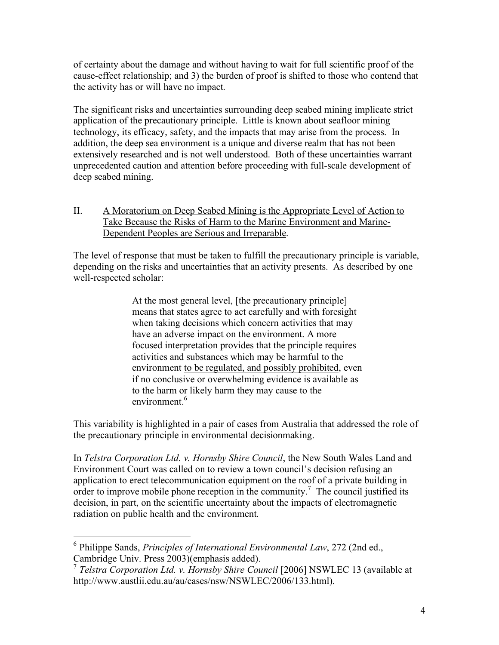of certainty about the damage and without having to wait for full scientific proof of the cause-effect relationship; and 3) the burden of proof is shifted to those who contend that the activity has or will have no impact.

The significant risks and uncertainties surrounding deep seabed mining implicate strict application of the precautionary principle. Little is known about seafloor mining technology, its efficacy, safety, and the impacts that may arise from the process. In addition, the deep sea environment is a unique and diverse realm that has not been extensively researched and is not well understood. Both of these uncertainties warrant unprecedented caution and attention before proceeding with full-scale development of deep seabed mining.

## II. A Moratorium on Deep Seabed Mining is the Appropriate Level of Action to Take Because the Risks of Harm to the Marine Environment and Marine-Dependent Peoples are Serious and Irreparable.

The level of response that must be taken to fulfill the precautionary principle is variable, depending on the risks and uncertainties that an activity presents. As described by one well-respected scholar:

> At the most general level, [the precautionary principle] means that states agree to act carefully and with foresight when taking decisions which concern activities that may have an adverse impact on the environment. A more focused interpretation provides that the principle requires activities and substances which may be harmful to the environment to be regulated, and possibly prohibited, even if no conclusive or overwhelming evidence is available as to the harm or likely harm they may cause to the environment<sup>6</sup>

This variability is highlighted in a pair of cases from Australia that addressed the role of the precautionary principle in environmental decisionmaking.

In *Telstra Corporation Ltd. v. Hornsby Shire Council*, the New South Wales Land and Environment Court was called on to review a town council's decision refusing an application to erect telecommunication equipment on the roof of a private building in order to improve mobile phone reception in the community.<sup>7</sup> The council justified its decision, in part, on the scientific uncertainty about the impacts of electromagnetic radiation on public health and the environment.

 <sup>6</sup> Philippe Sands, *Principles of International Environmental Law*, 272 (2nd ed., Cambridge Univ. Press 2003)(emphasis added).

<sup>7</sup> *Telstra Corporation Ltd. v. Hornsby Shire Council* [2006] NSWLEC 13 (available at http://www.austlii.edu.au/au/cases/nsw/NSWLEC/2006/133.html).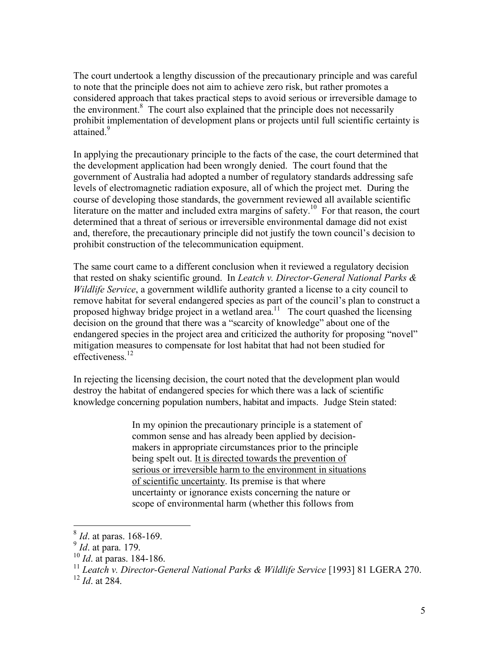The court undertook a lengthy discussion of the precautionary principle and was careful to note that the principle does not aim to achieve zero risk, but rather promotes a considered approach that takes practical steps to avoid serious or irreversible damage to the environment.<sup>8</sup> The court also explained that the principle does not necessarily prohibit implementation of development plans or projects until full scientific certainty is attained<sup>9</sup>

In applying the precautionary principle to the facts of the case, the court determined that the development application had been wrongly denied. The court found that the government of Australia had adopted a number of regulatory standards addressing safe levels of electromagnetic radiation exposure, all of which the project met. During the course of developing those standards, the government reviewed all available scientific literature on the matter and included extra margins of safety.<sup>10</sup> For that reason, the court determined that a threat of serious or irreversible environmental damage did not exist and, therefore, the precautionary principle did not justify the town council's decision to prohibit construction of the telecommunication equipment.

The same court came to a different conclusion when it reviewed a regulatory decision that rested on shaky scientific ground. In *Leatch v. Director-General National Parks & Wildlife Service*, a government wildlife authority granted a license to a city council to remove habitat for several endangered species as part of the council's plan to construct a proposed highway bridge project in a wetland area.<sup>11</sup> The court quashed the licensing decision on the ground that there was a "scarcity of knowledge" about one of the endangered species in the project area and criticized the authority for proposing "novel" mitigation measures to compensate for lost habitat that had not been studied for effectiveness<sup>12</sup>

In rejecting the licensing decision, the court noted that the development plan would destroy the habitat of endangered species for which there was a lack of scientific knowledge concerning population numbers, habitat and impacts. Judge Stein stated:

> In my opinion the precautionary principle is a statement of common sense and has already been applied by decisionmakers in appropriate circumstances prior to the principle being spelt out. It is directed towards the prevention of serious or irreversible harm to the environment in situations of scientific uncertainty. Its premise is that where uncertainty or ignorance exists concerning the nature or scope of environmental harm (whether this follows from

 <sup>8</sup> *Id*. at paras. 168-169.

<sup>9</sup> *Id*. at para. 179.

<sup>10</sup> *Id*. at paras. 184-186.

<sup>11</sup> *Leatch v. Director-General National Parks & Wildlife Service* [1993] 81 LGERA 270.

<sup>12</sup> *Id*. at 284.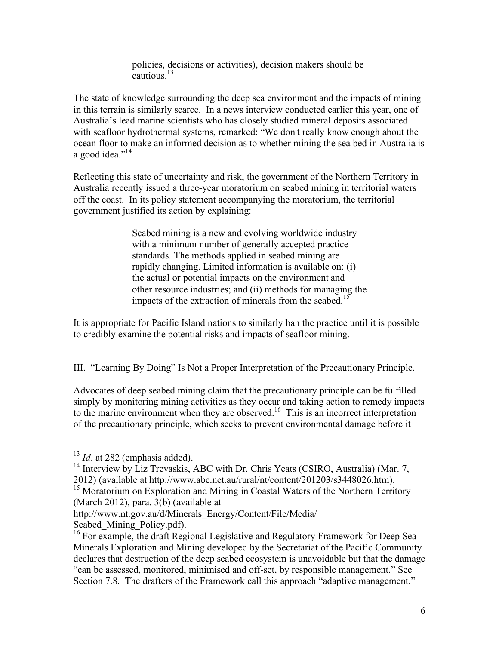policies, decisions or activities), decision makers should be cautious. $13$ 

The state of knowledge surrounding the deep sea environment and the impacts of mining in this terrain is similarly scarce. In a news interview conducted earlier this year, one of Australia's lead marine scientists who has closely studied mineral deposits associated with seafloor hydrothermal systems, remarked: "We don't really know enough about the ocean floor to make an informed decision as to whether mining the sea bed in Australia is a good idea." $^{14}$ 

Reflecting this state of uncertainty and risk, the government of the Northern Territory in Australia recently issued a three-year moratorium on seabed mining in territorial waters off the coast. In its policy statement accompanying the moratorium, the territorial government justified its action by explaining:

> Seabed mining is a new and evolving worldwide industry with a minimum number of generally accepted practice standards. The methods applied in seabed mining are rapidly changing. Limited information is available on: (i) the actual or potential impacts on the environment and other resource industries; and (ii) methods for managing the impacts of the extraction of minerals from the seabed.<sup>15</sup>

It is appropriate for Pacific Island nations to similarly ban the practice until it is possible to credibly examine the potential risks and impacts of seafloor mining.

## III. "Learning By Doing" Is Not a Proper Interpretation of the Precautionary Principle.

Advocates of deep seabed mining claim that the precautionary principle can be fulfilled simply by monitoring mining activities as they occur and taking action to remedy impacts to the marine environment when they are observed.<sup>16</sup> This is an incorrect interpretation of the precautionary principle, which seeks to prevent environmental damage before it

<sup>&</sup>lt;sup>13</sup> *Id.* at 282 (emphasis added).

<sup>&</sup>lt;sup>14</sup> Interview by Liz Trevaskis, ABC with Dr. Chris Yeats (CSIRO, Australia) (Mar. 7, 2012) (available at http://www.abc.net.au/rural/nt/content/201203/s3448026.htm).

<sup>&</sup>lt;sup>15</sup> Moratorium on Exploration and Mining in Coastal Waters of the Northern Territory (March 2012), para. 3(b) (available at

http://www.nt.gov.au/d/Minerals\_Energy/Content/File/Media/

Seabed\_Mining\_Policy.pdf).<br><sup>16</sup> For example, the draft Regional Legislative and Regulatory Framework for Deep Sea Minerals Exploration and Mining developed by the Secretariat of the Pacific Community declares that destruction of the deep seabed ecosystem is unavoidable but that the damage "can be assessed, monitored, minimised and off-set, by responsible management." See Section 7.8. The drafters of the Framework call this approach "adaptive management."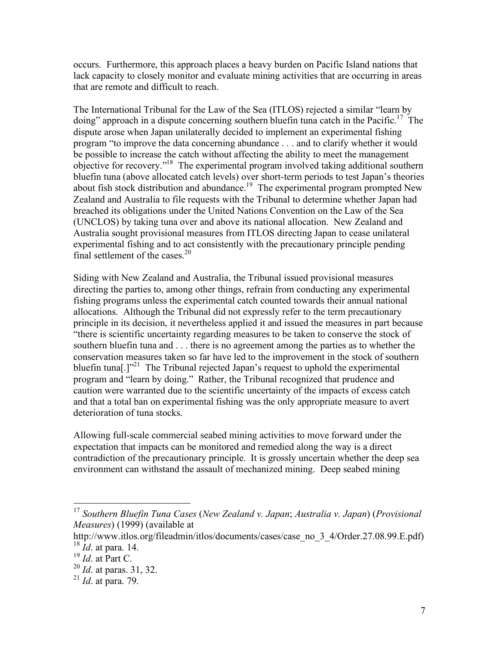occurs. Furthermore, this approach places a heavy burden on Pacific Island nations that lack capacity to closely monitor and evaluate mining activities that are occurring in areas that are remote and difficult to reach.

The International Tribunal for the Law of the Sea (ITLOS) rejected a similar "learn by doing" approach in a dispute concerning southern bluefin tuna catch in the Pacific.<sup>17</sup> The dispute arose when Japan unilaterally decided to implement an experimental fishing program "to improve the data concerning abundance . . . and to clarify whether it would be possible to increase the catch without affecting the ability to meet the management objective for recovery."18 The experimental program involved taking additional southern bluefin tuna (above allocated catch levels) over short-term periods to test Japan's theories about fish stock distribution and abundance.<sup>19</sup> The experimental program prompted New Zealand and Australia to file requests with the Tribunal to determine whether Japan had breached its obligations under the United Nations Convention on the Law of the Sea (UNCLOS) by taking tuna over and above its national allocation. New Zealand and Australia sought provisional measures from ITLOS directing Japan to cease unilateral experimental fishing and to act consistently with the precautionary principle pending final settlement of the cases. $20$ 

Siding with New Zealand and Australia, the Tribunal issued provisional measures directing the parties to, among other things, refrain from conducting any experimental fishing programs unless the experimental catch counted towards their annual national allocations. Although the Tribunal did not expressly refer to the term precautionary principle in its decision, it nevertheless applied it and issued the measures in part because "there is scientific uncertainty regarding measures to be taken to conserve the stock of southern bluefin tuna and . . . there is no agreement among the parties as to whether the conservation measures taken so far have led to the improvement in the stock of southern bluefin tuna[.]<sup>"21</sup> The Tribunal rejected Japan's request to uphold the experimental program and "learn by doing." Rather, the Tribunal recognized that prudence and caution were warranted due to the scientific uncertainty of the impacts of excess catch and that a total ban on experimental fishing was the only appropriate measure to avert deterioration of tuna stocks.

Allowing full-scale commercial seabed mining activities to move forward under the expectation that impacts can be monitored and remedied along the way is a direct contradiction of the precautionary principle. It is grossly uncertain whether the deep sea environment can withstand the assault of mechanized mining. Deep seabed mining

 <sup>17</sup> *Southern Bluefin Tuna Cases* (*New Zealand v. Japan*; *Australia v. Japan*) (*Provisional Measures*) (1999) (available at

http://www.itlos.org/fileadmin/itlos/documents/cases/case\_no\_3\_4/Order.27.08.99.E.pdf) <sup>18</sup> *Id*. at para. 14.

<sup>19</sup> *Id*. at Part C.

<sup>20</sup> *Id*. at paras. 31, 32.

<sup>21</sup> *Id*. at para. 79.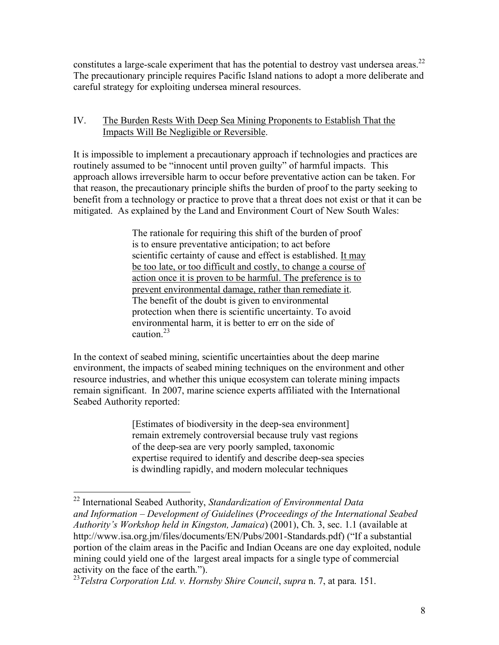constitutes a large-scale experiment that has the potential to destroy vast undersea areas.<sup>22</sup> The precautionary principle requires Pacific Island nations to adopt a more deliberate and careful strategy for exploiting undersea mineral resources.

## IV. The Burden Rests With Deep Sea Mining Proponents to Establish That the Impacts Will Be Negligible or Reversible.

It is impossible to implement a precautionary approach if technologies and practices are routinely assumed to be "innocent until proven guilty" of harmful impacts. This approach allows irreversible harm to occur before preventative action can be taken. For that reason, the precautionary principle shifts the burden of proof to the party seeking to benefit from a technology or practice to prove that a threat does not exist or that it can be mitigated. As explained by the Land and Environment Court of New South Wales:

> The rationale for requiring this shift of the burden of proof is to ensure preventative anticipation; to act before scientific certainty of cause and effect is established. It may be too late, or too difficult and costly, to change a course of action once it is proven to be harmful. The preference is to prevent environmental damage, rather than remediate it. The benefit of the doubt is given to environmental protection when there is scientific uncertainty. To avoid environmental harm, it is better to err on the side of  $c$ aution $23$

In the context of seabed mining, scientific uncertainties about the deep marine environment, the impacts of seabed mining techniques on the environment and other resource industries, and whether this unique ecosystem can tolerate mining impacts remain significant. In 2007, marine science experts affiliated with the International Seabed Authority reported:

> [Estimates of biodiversity in the deep-sea environment] remain extremely controversial because truly vast regions of the deep-sea are very poorly sampled, taxonomic expertise required to identify and describe deep-sea species is dwindling rapidly, and modern molecular techniques

 <sup>22</sup> International Seabed Authority, *Standardization of Environmental Data and Information – Development of Guidelines* (*Proceedings of the International Seabed Authority's Workshop held in Kingston, Jamaica*) (2001), Ch. 3, sec. 1.1 (available at http://www.isa.org.jm/files/documents/EN/Pubs/2001-Standards.pdf) ("If a substantial portion of the claim areas in the Pacific and Indian Oceans are one day exploited, nodule mining could yield one of the largest areal impacts for a single type of commercial activity on the face of the earth.").

<sup>23</sup>*Telstra Corporation Ltd. v. Hornsby Shire Council*, *supra* n. 7, at para. 151.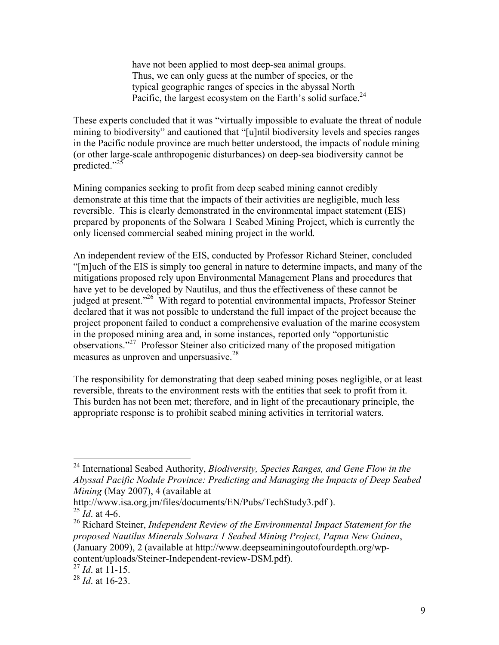have not been applied to most deep-sea animal groups. Thus, we can only guess at the number of species, or the typical geographic ranges of species in the abyssal North Pacific, the largest ecosystem on the Earth's solid surface. $^{24}$ 

These experts concluded that it was "virtually impossible to evaluate the threat of nodule mining to biodiversity" and cautioned that "[u]ntil biodiversity levels and species ranges in the Pacific nodule province are much better understood, the impacts of nodule mining (or other large-scale anthropogenic disturbances) on deep-sea biodiversity cannot be predicted." $^{25}$ 

Mining companies seeking to profit from deep seabed mining cannot credibly demonstrate at this time that the impacts of their activities are negligible, much less reversible. This is clearly demonstrated in the environmental impact statement (EIS) prepared by proponents of the Solwara 1 Seabed Mining Project, which is currently the only licensed commercial seabed mining project in the world.

An independent review of the EIS, conducted by Professor Richard Steiner, concluded "[m]uch of the EIS is simply too general in nature to determine impacts, and many of the mitigations proposed rely upon Environmental Management Plans and procedures that have yet to be developed by Nautilus, and thus the effectiveness of these cannot be judged at present."<sup>26</sup> With regard to potential environmental impacts, Professor Steiner declared that it was not possible to understand the full impact of the project because the project proponent failed to conduct a comprehensive evaluation of the marine ecosystem in the proposed mining area and, in some instances, reported only "opportunistic observations."27 Professor Steiner also criticized many of the proposed mitigation measures as unproven and unpersuasive.<sup>28</sup>

The responsibility for demonstrating that deep seabed mining poses negligible, or at least reversible, threats to the environment rests with the entities that seek to profit from it. This burden has not been met; therefore, and in light of the precautionary principle, the appropriate response is to prohibit seabed mining activities in territorial waters.

 <sup>24</sup> International Seabed Authority, *Biodiversity, Species Ranges, and Gene Flow in the Abyssal Pacific Nodule Province: Predicting and Managing the Impacts of Deep Seabed Mining* (May 2007), 4 (available at

http://www.isa.org.jm/files/documents/EN/Pubs/TechStudy3.pdf ).

<sup>25</sup> *Id*. at 4-6.

<sup>26</sup> Richard Steiner, *Independent Review of the Environmental Impact Statement for the proposed Nautilus Minerals Solwara 1 Seabed Mining Project, Papua New Guinea*, (January 2009), 2 (available at http://www.deepseaminingoutofourdepth.org/wpcontent/uploads/Steiner-Independent-review-DSM.pdf).

<sup>27</sup> *Id*. at 11-15.

<sup>28</sup> *Id*. at 16-23.